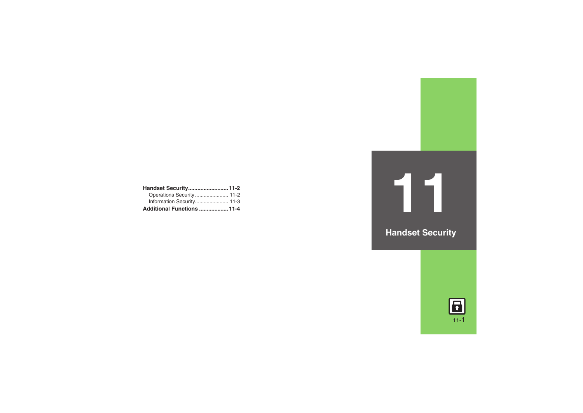| Handset Security 11-2      |  |
|----------------------------|--|
| Operations Security 11-2   |  |
| Information Security 11-3  |  |
| Additional Functions  11-4 |  |



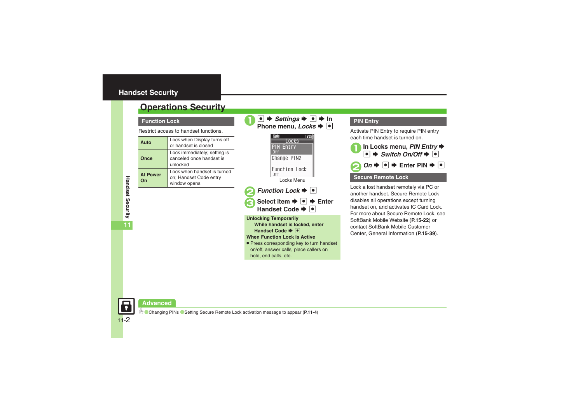## <span id="page-1-0"></span>**Handset Security**

# <span id="page-1-1"></span>**Operations Security**

**Function Lock**

Restrict access to handset functions.

| Auto                  | Lock when Display turns off<br>or handset is closed                   |
|-----------------------|-----------------------------------------------------------------------|
| Once                  | Lock immediately; setting is<br>canceled once handset is<br>unlocked  |
| <b>At Power</b><br>∩ո | Lock when handset is turned<br>on; Handset Code entry<br>window opens |

 $\bullet \bullet \bullet \bullet$  Settings  $\bullet \bullet \bullet$  In Phone menu, *Locks*  $\bullet \bullet$ 15:05 Locks **PIN Entry**  $n + f$ Change PIN2 Function Lock  $0<sup>tf</sup>$ Locks Menu*Function Lock*  $\blacktriangleright$   $\lceil \bullet \rceil$ Select item  $\rightarrow$  ●  $\rightarrow$  Enter Handset Code  $\blacktriangleright$   $\lceil \bullet \rceil$ **Unlocking Temporarily While handset is locked, enter Handset Code**  $\rightarrow \bullet$ **When Function Lock is Active**

. Press corresponding key to turn handset on/off, answer calls, place callers on hold, end calls, etc.

## **PIN Entry**

Activate PIN Entry to require PIN entry each time handset is turned on.



Lock a lost handset remotely via PC or another handset. Secure Remote Lock disables all operations except turning handset on, and activates IC Card Lock. For more about Secure Remote Lock, see SoftBank Mobile Website (**P.15-22**) or contact SoftBank Mobile Customer Center, General Information (**P.15-39**).

Handset Security **Handset Security 11**

## **Advanced**

0([Changing PINs](#page-3-1) ([Setting Secure Remote Lock activation message to appear](#page-3-2) (**[P.11-4](#page-3-1)**)

11-2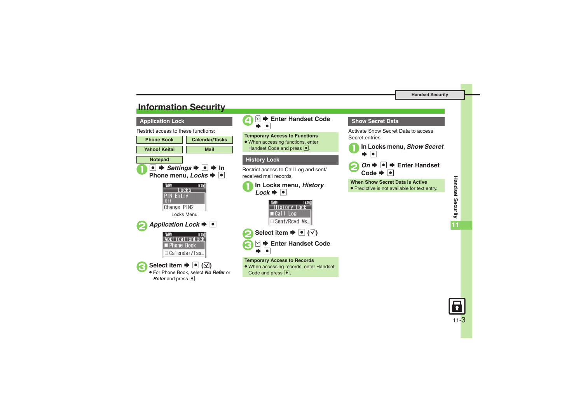# <span id="page-2-0"></span>**Information Security**

#### **Application Lock**

Restrict access to these functions:





 $\boxed{\circ}$  $\blacktriangleright$  **Enter Handset Code**  $\overline{\bullet}$ 

**Temporary Access to Functions** • When accessing functions, enter Handset Code and press  $\lceil \bullet \rceil$ .

## **History Lock**

Restrict access to Call Log and sent/ received mail records.



15 05 **History Lock** Call Log Sent/Rcvd Ms...



#### **Temporary Access to Records**

. When accessing records, enter Handset Code and press  $\lceil \bullet \rceil$ .

### **Show Secret Data**

Activate Show Secret Data to access Secret entries.



1**In Locks menu,** *Show Secret*



**When Show Secret Data is Active**

. Predictive is not available for text entry.